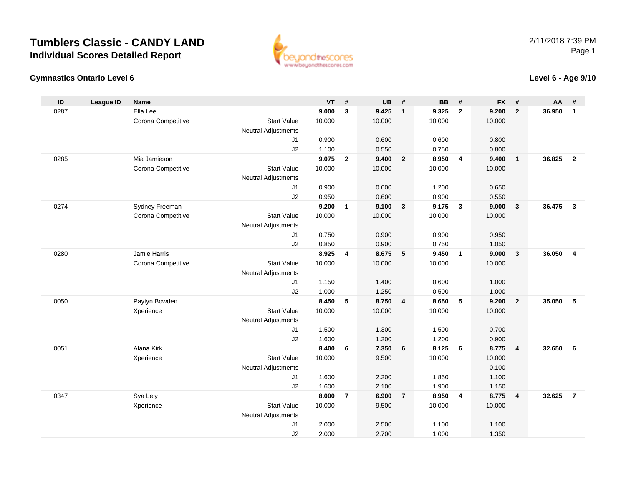**Gymnastics Ontario Level 6**



#### **Level 6 - Age 9/10**

| ID   | <b>League ID</b> | <b>Name</b>        |                                  | <b>VT</b>      | #              | <b>UB</b>       | #              | <b>BB</b>      | #              | <b>FX</b> | #                       | AA     | #              |
|------|------------------|--------------------|----------------------------------|----------------|----------------|-----------------|----------------|----------------|----------------|-----------|-------------------------|--------|----------------|
| 0287 |                  | Ella Lee           |                                  | 9.000          | 3              | 9.425           | $\mathbf{1}$   | 9.325          | $\overline{2}$ | 9.200     | $\overline{2}$          | 36.950 | $\mathbf{1}$   |
|      |                  | Corona Competitive | <b>Start Value</b>               | 10.000         |                | 10.000          |                | 10.000         |                | 10.000    |                         |        |                |
|      |                  |                    | <b>Neutral Adjustments</b>       |                |                |                 |                |                |                |           |                         |        |                |
|      |                  |                    | J <sub>1</sub>                   | 0.900          |                | 0.600           |                | 0.600          |                | 0.800     |                         |        |                |
|      |                  |                    | J2                               | 1.100          |                | 0.550           |                | 0.750          |                | 0.800     |                         |        |                |
| 0285 |                  | Mia Jamieson       |                                  | 9.075          | $\overline{2}$ | 9.400           | $\overline{2}$ | 8.950          | $\overline{4}$ | 9.400     | $\overline{1}$          | 36.825 | $\overline{2}$ |
|      |                  | Corona Competitive | <b>Start Value</b>               | 10.000         |                | 10.000          |                | 10.000         |                | 10.000    |                         |        |                |
|      |                  |                    | <b>Neutral Adjustments</b>       |                |                |                 |                |                |                |           |                         |        |                |
|      |                  |                    | J1                               | 0.900          |                | 0.600           |                | 1.200          |                | 0.650     |                         |        |                |
|      |                  |                    | J2                               | 0.950          |                | 0.600           |                | 0.900          |                | 0.550     |                         |        |                |
| 0274 |                  | Sydney Freeman     |                                  | 9.200          | 1              | 9.100           | $\mathbf{3}$   | 9.175          | $\mathbf{3}$   | 9.000     | $\mathbf{3}$            | 36.475 | $\mathbf{3}$   |
|      |                  | Corona Competitive | <b>Start Value</b>               | 10.000         |                | 10.000          |                | 10.000         |                | 10.000    |                         |        |                |
|      |                  |                    | <b>Neutral Adjustments</b>       |                |                |                 |                |                |                |           |                         |        |                |
|      |                  |                    | J1                               | 0.750          |                | 0.900           |                | 0.900          |                | 0.950     |                         |        |                |
|      |                  |                    | J2                               | 0.850          |                | 0.900           |                | 0.750          |                | 1.050     |                         |        |                |
| 0280 |                  | Jamie Harris       |                                  | 8.925          | 4              | 8.675           | 5              | 9.450          | $\overline{1}$ | 9.000     | $\overline{\mathbf{3}}$ | 36.050 | $\overline{4}$ |
|      |                  | Corona Competitive | <b>Start Value</b>               | 10.000         |                | 10.000          |                | 10.000         |                | 10.000    |                         |        |                |
|      |                  |                    | <b>Neutral Adjustments</b>       |                |                |                 |                |                |                |           |                         |        |                |
|      |                  |                    | J <sub>1</sub>                   | 1.150          |                | 1.400           |                | 0.600          |                | 1.000     |                         |        |                |
|      |                  |                    | J2                               | 1.000<br>8.450 |                | 1.250           |                | 0.500<br>8.650 |                | 1.000     |                         |        |                |
| 0050 |                  | Paytyn Bowden      | <b>Start Value</b>               | 10.000         | 5              | 8.750<br>10.000 | $\overline{4}$ | 10.000         | -5             | 9.200     | $\overline{2}$          | 35.050 | 5              |
|      |                  | Xperience          |                                  |                |                |                 |                |                |                | 10.000    |                         |        |                |
|      |                  |                    | <b>Neutral Adjustments</b><br>J1 | 1.500          |                | 1.300           |                |                |                | 0.700     |                         |        |                |
|      |                  |                    | J2                               | 1.600          |                | 1.200           |                | 1.500<br>1.200 |                | 0.900     |                         |        |                |
| 0051 |                  | Alana Kirk         |                                  | 8.400          | 6              | 7.350           | 6              | 8.125          | 6              | 8.775     | $\overline{4}$          | 32.650 | 6              |
|      |                  | Xperience          | <b>Start Value</b>               | 10.000         |                | 9.500           |                | 10.000         |                | 10.000    |                         |        |                |
|      |                  |                    | <b>Neutral Adjustments</b>       |                |                |                 |                |                |                | $-0.100$  |                         |        |                |
|      |                  |                    | J1                               | 1.600          |                | 2.200           |                | 1.850          |                | 1.100     |                         |        |                |
|      |                  |                    | J2                               | 1.600          |                | 2.100           |                | 1.900          |                | 1.150     |                         |        |                |
| 0347 |                  | Sya Lely           |                                  | 8.000          | $\overline{7}$ | 6.900           | $\overline{7}$ | 8.950          | $\overline{4}$ | 8.775     | $\overline{4}$          | 32.625 | $\overline{7}$ |
|      |                  | Xperience          | <b>Start Value</b>               | 10.000         |                | 9.500           |                | 10.000         |                | 10.000    |                         |        |                |
|      |                  |                    | <b>Neutral Adjustments</b>       |                |                |                 |                |                |                |           |                         |        |                |
|      |                  |                    | J <sub>1</sub>                   | 2.000          |                | 2.500           |                | 1.100          |                | 1.100     |                         |        |                |
|      |                  |                    | J2                               | 2.000          |                | 2.700           |                | 1.000          |                | 1.350     |                         |        |                |
|      |                  |                    |                                  |                |                |                 |                |                |                |           |                         |        |                |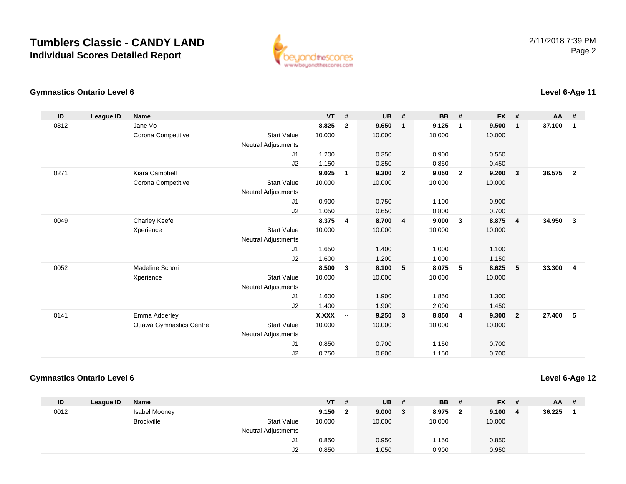

#### **Gymnastics Ontario Level 6Level 6-Age 11**

| ID   | <b>League ID</b> | <b>Name</b>                     |                            | <b>VT</b>    | #                        | UB     | #                       | <b>BB</b> | #            | <b>FX</b> | #              | $AA$ # |                |
|------|------------------|---------------------------------|----------------------------|--------------|--------------------------|--------|-------------------------|-----------|--------------|-----------|----------------|--------|----------------|
| 0312 |                  | Jane Vo                         |                            | 8.825        | $\overline{2}$           | 9.650  | $\mathbf{1}$            | 9.125     | 1            | 9.500     | $\mathbf{1}$   | 37.100 | $\mathbf{1}$   |
|      |                  | Corona Competitive              | <b>Start Value</b>         | 10.000       |                          | 10.000 |                         | 10.000    |              | 10.000    |                |        |                |
|      |                  |                                 | <b>Neutral Adjustments</b> |              |                          |        |                         |           |              |           |                |        |                |
|      |                  |                                 | J1                         | 1.200        |                          | 0.350  |                         | 0.900     |              | 0.550     |                |        |                |
|      |                  |                                 | J2                         | 1.150        |                          | 0.350  |                         | 0.850     |              | 0.450     |                |        |                |
| 0271 |                  | Kiara Campbell                  |                            | 9.025        | $\overline{1}$           | 9.300  | $\overline{\mathbf{2}}$ | 9.050     | $\mathbf{2}$ | 9.200     | $\mathbf{3}$   | 36.575 | $\overline{2}$ |
|      |                  | Corona Competitive              | <b>Start Value</b>         | 10.000       |                          | 10.000 |                         | 10.000    |              | 10.000    |                |        |                |
|      |                  |                                 | <b>Neutral Adjustments</b> |              |                          |        |                         |           |              |           |                |        |                |
|      |                  |                                 | J <sub>1</sub>             | 0.900        |                          | 0.750  |                         | 1.100     |              | 0.900     |                |        |                |
|      |                  |                                 | J2                         | 1.050        |                          | 0.650  |                         | 0.800     |              | 0.700     |                |        |                |
| 0049 |                  | <b>Charley Keefe</b>            |                            | 8.375        | $\overline{4}$           | 8.700  | $\overline{4}$          | 9.000     | 3            | 8.875     | $\overline{4}$ | 34.950 | $\mathbf{3}$   |
|      |                  | Xperience                       | <b>Start Value</b>         | 10.000       |                          | 10.000 |                         | 10.000    |              | 10.000    |                |        |                |
|      |                  |                                 | Neutral Adjustments        |              |                          |        |                         |           |              |           |                |        |                |
|      |                  |                                 | J <sub>1</sub>             | 1.650        |                          | 1.400  |                         | 1.000     |              | 1.100     |                |        |                |
|      |                  |                                 | J2                         | 1.600        |                          | 1.200  |                         | 1.000     |              | 1.150     |                |        |                |
| 0052 |                  | Madeline Schori                 |                            | 8.500        | $\mathbf{3}$             | 8.100  | 5                       | 8.075     | 5            | 8.625     | 5              | 33.300 | $\overline{4}$ |
|      |                  | Xperience                       | <b>Start Value</b>         | 10.000       |                          | 10.000 |                         | 10.000    |              | 10.000    |                |        |                |
|      |                  |                                 | <b>Neutral Adjustments</b> |              |                          |        |                         |           |              |           |                |        |                |
|      |                  |                                 | J <sub>1</sub>             | 1.600        |                          | 1.900  |                         | 1.850     |              | 1.300     |                |        |                |
|      |                  |                                 | J2                         | 1.400        |                          | 1.900  |                         | 2.000     |              | 1.450     |                |        |                |
| 0141 |                  | Emma Adderley                   |                            | <b>X.XXX</b> | $\overline{\phantom{a}}$ | 9.250  | $\overline{3}$          | 8.850     | 4            | 9.300     | $\overline{2}$ | 27.400 | 5              |
|      |                  | <b>Ottawa Gymnastics Centre</b> | <b>Start Value</b>         | 10.000       |                          | 10.000 |                         | 10.000    |              | 10.000    |                |        |                |
|      |                  |                                 | <b>Neutral Adjustments</b> |              |                          |        |                         |           |              |           |                |        |                |
|      |                  |                                 | J <sub>1</sub>             | 0.850        |                          | 0.700  |                         | 1.150     |              | 0.700     |                |        |                |
|      |                  |                                 | J2                         | 0.750        |                          | 0.800  |                         | 1.150     |              | 0.700     |                |        |                |

### **Gymnastics Ontario Level 6**

**Level 6-Age 12**

| ID   | League ID | Name                 |                            | <b>VT</b> | #   | <b>UB</b> | # | BB     | # | $FX$ # |   | $AA$ # |  |
|------|-----------|----------------------|----------------------------|-----------|-----|-----------|---|--------|---|--------|---|--------|--|
| 0012 |           | <b>Isabel Mooney</b> |                            | 9.150     | - 2 | 9.000     | 3 | 8.975  | 2 | 9.100  | 4 | 36.225 |  |
|      |           | <b>Brockville</b>    | <b>Start Value</b>         | 10.000    |     | 10.000    |   | 10.000 |   | 10.000 |   |        |  |
|      |           |                      | <b>Neutral Adjustments</b> |           |     |           |   |        |   |        |   |        |  |
|      |           |                      | J1                         | 0.850     |     | 0.950     |   | 1.150  |   | 0.850  |   |        |  |
|      |           |                      | J2                         | 0.850     |     | 1.050     |   | 0.900  |   | 0.950  |   |        |  |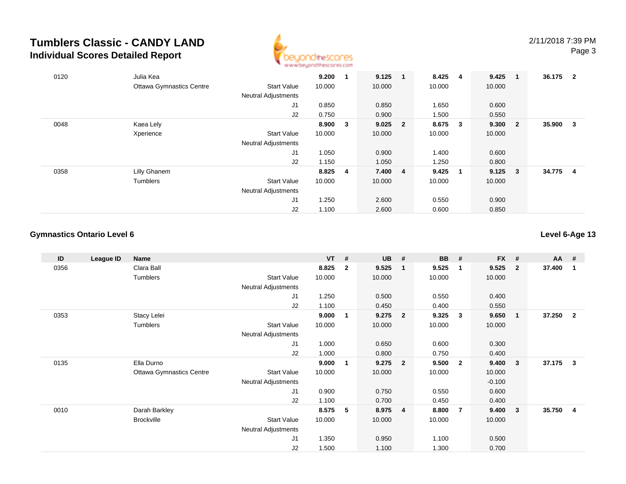

| 0120 | Julia Kea                       |                            | 9.200   |              | 9.125     | $\blacksquare$ | 8.425  | - 4                     | 9.425  | - 1                     | 36.175 | $\overline{\mathbf{2}}$ |
|------|---------------------------------|----------------------------|---------|--------------|-----------|----------------|--------|-------------------------|--------|-------------------------|--------|-------------------------|
|      | <b>Ottawa Gymnastics Centre</b> | <b>Start Value</b>         | 10.000  |              | 10.000    |                | 10.000 |                         | 10.000 |                         |        |                         |
|      |                                 | <b>Neutral Adjustments</b> |         |              |           |                |        |                         |        |                         |        |                         |
|      |                                 | J <sub>1</sub>             | 0.850   |              | 0.850     |                | 1.650  |                         | 0.600  |                         |        |                         |
|      |                                 | J2                         | 0.750   |              | 0.900     |                | 1.500  |                         | 0.550  |                         |        |                         |
| 0048 | Kaea Lely                       |                            | 8.900   | $\mathbf{3}$ | $9.025$ 2 |                | 8.675  | $\overline{\mathbf{3}}$ | 9.300  | $\overline{\mathbf{2}}$ | 35.900 | -3                      |
|      | Xperience                       | <b>Start Value</b>         | 10.000  |              | 10.000    |                | 10.000 |                         | 10.000 |                         |        |                         |
|      |                                 | <b>Neutral Adjustments</b> |         |              |           |                |        |                         |        |                         |        |                         |
|      |                                 | J <sub>1</sub>             | 1.050   |              | 0.900     |                | 1.400  |                         | 0.600  |                         |        |                         |
|      |                                 | J2                         | 1.150   |              | 1.050     |                | 1.250  |                         | 0.800  |                         |        |                         |
| 0358 | Lilly Ghanem                    |                            | 8.825 4 |              | 7.400 4   |                | 9.425  | $\blacksquare$          | 9.125  | $\overline{\mathbf{3}}$ | 34.775 | 4                       |
|      | Tumblers                        | <b>Start Value</b>         | 10.000  |              | 10.000    |                | 10.000 |                         | 10.000 |                         |        |                         |
|      |                                 | <b>Neutral Adjustments</b> |         |              |           |                |        |                         |        |                         |        |                         |
|      |                                 | J <sub>1</sub>             | 1.250   |              | 2.600     |                | 0.550  |                         | 0.900  |                         |        |                         |
|      |                                 | J2                         | 1.100   |              | 2.600     |                | 0.600  |                         | 0.850  |                         |        |                         |

### **Gymnastics Ontario Level 6**

**Level 6-Age 13**

| ID   | League ID | Name                            |                            | <b>VT</b> | #              | <b>UB</b> | #                       | <b>BB</b> | #              | <b>FX</b> | #                       | AA     | - #                     |
|------|-----------|---------------------------------|----------------------------|-----------|----------------|-----------|-------------------------|-----------|----------------|-----------|-------------------------|--------|-------------------------|
| 0356 |           | Clara Ball                      |                            | 8.825     | $\overline{2}$ | 9.525     | $\mathbf{1}$            | 9.525     | -1             | 9.525     | $\overline{\mathbf{2}}$ | 37.400 | -1                      |
|      |           | Tumblers                        | <b>Start Value</b>         | 10.000    |                | 10.000    |                         | 10.000    |                | 10.000    |                         |        |                         |
|      |           |                                 | Neutral Adjustments        |           |                |           |                         |           |                |           |                         |        |                         |
|      |           |                                 | J <sub>1</sub>             | 1.250     |                | 0.500     |                         | 0.550     |                | 0.400     |                         |        |                         |
|      |           |                                 | J2                         | 1.100     |                | 0.450     |                         | 0.400     |                | 0.550     |                         |        |                         |
| 0353 |           | Stacy Lelei                     |                            | 9.000     | 1              | 9.275     | $\overline{2}$          | 9.325     | $\mathbf{3}$   | 9.650     | $\overline{\mathbf{1}}$ | 37.250 | $\overline{\mathbf{2}}$ |
|      |           | Tumblers                        | <b>Start Value</b>         | 10.000    |                | 10.000    |                         | 10.000    |                | 10.000    |                         |        |                         |
|      |           |                                 | <b>Neutral Adjustments</b> |           |                |           |                         |           |                |           |                         |        |                         |
|      |           |                                 | J1                         | 1.000     |                | 0.650     |                         | 0.600     |                | 0.300     |                         |        |                         |
|      |           |                                 | J2                         | 1.000     |                | 0.800     |                         | 0.750     |                | 0.400     |                         |        |                         |
| 0135 |           | Ella Durno                      |                            | 9.000     | 1              | 9.275     | $\overline{2}$          | 9.500     | $\overline{2}$ | 9.400     | $\overline{\mathbf{3}}$ | 37.175 | $\mathbf{3}$            |
|      |           | <b>Ottawa Gymnastics Centre</b> | <b>Start Value</b>         | 10.000    |                | 10.000    |                         | 10.000    |                | 10.000    |                         |        |                         |
|      |           |                                 | <b>Neutral Adjustments</b> |           |                |           |                         |           |                | $-0.100$  |                         |        |                         |
|      |           |                                 | J1                         | 0.900     |                | 0.750     |                         | 0.550     |                | 0.600     |                         |        |                         |
|      |           |                                 | J2                         | 1.100     |                | 0.700     |                         | 0.450     |                | 0.400     |                         |        |                         |
| 0010 |           | Darah Barkley                   |                            | 8.575     | 5              | 8.975     | $\overline{\mathbf{4}}$ | 8.800     | $\overline{7}$ | 9.400     | $\overline{\mathbf{3}}$ | 35.750 | -4                      |
|      |           | <b>Brockville</b>               | <b>Start Value</b>         | 10.000    |                | 10.000    |                         | 10.000    |                | 10.000    |                         |        |                         |
|      |           |                                 | Neutral Adjustments        |           |                |           |                         |           |                |           |                         |        |                         |
|      |           |                                 | J1                         | 1.350     |                | 0.950     |                         | 1.100     |                | 0.500     |                         |        |                         |
|      |           |                                 | J2                         | 1.500     |                | 1.100     |                         | 1.300     |                | 0.700     |                         |        |                         |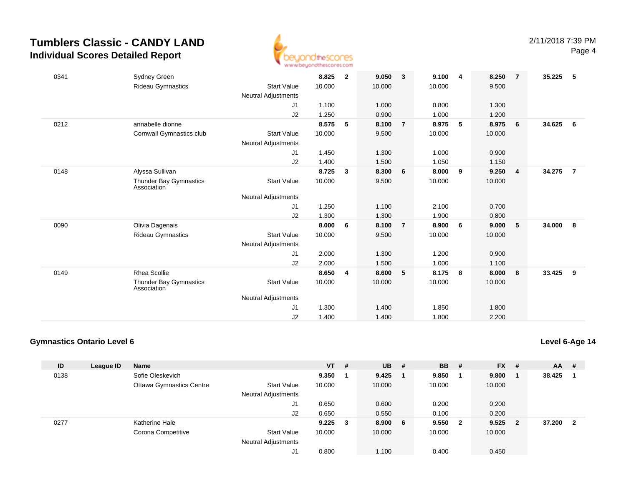

| 0341 | <b>Sydney Green</b>                   |                            | 8.825  | $\overline{2}$ | 9.050  | $\mathbf{3}$   | 9.100  | -4  | 8.250  | $\overline{7}$ | 35.225 | -5             |
|------|---------------------------------------|----------------------------|--------|----------------|--------|----------------|--------|-----|--------|----------------|--------|----------------|
|      | <b>Rideau Gymnastics</b>              | <b>Start Value</b>         | 10.000 |                | 10.000 |                | 10.000 |     | 9.500  |                |        |                |
|      |                                       | <b>Neutral Adjustments</b> |        |                |        |                |        |     |        |                |        |                |
|      |                                       | J <sub>1</sub>             | 1.100  |                | 1.000  |                | 0.800  |     | 1.300  |                |        |                |
|      |                                       | J2                         | 1.250  |                | 0.900  |                | 1.000  |     | 1.200  |                |        |                |
| 0212 | annabelle dionne                      |                            | 8.575  | 5              | 8.100  | $\overline{7}$ | 8.975  | 5   | 8.975  | 6              | 34.625 | - 6            |
|      | Cornwall Gymnastics club              | <b>Start Value</b>         | 10.000 |                | 9.500  |                | 10.000 |     | 10.000 |                |        |                |
|      |                                       | Neutral Adjustments        |        |                |        |                |        |     |        |                |        |                |
|      |                                       | J1                         | 1.450  |                | 1.300  |                | 1.000  |     | 0.900  |                |        |                |
|      |                                       | J <sub>2</sub>             | 1.400  |                | 1.500  |                | 1.050  |     | 1.150  |                |        |                |
| 0148 | Alyssa Sullivan                       |                            | 8.725  | 3              | 8.300  | 6              | 8.000  | 9   | 9.250  | $\overline{4}$ | 34.275 | $\overline{7}$ |
|      | Thunder Bay Gymnastics<br>Association | <b>Start Value</b>         | 10.000 |                | 9.500  |                | 10.000 |     | 10.000 |                |        |                |
|      |                                       | <b>Neutral Adjustments</b> |        |                |        |                |        |     |        |                |        |                |
|      |                                       | J1                         | 1.250  |                | 1.100  |                | 2.100  |     | 0.700  |                |        |                |
|      |                                       | J2                         | 1.300  |                | 1.300  |                | 1.900  |     | 0.800  |                |        |                |
| 0090 | Olivia Dagenais                       |                            | 8.000  | 6              | 8.100  | $\overline{7}$ | 8.900  | -6  | 9.000  | 5              | 34.000 | 8              |
|      | <b>Rideau Gymnastics</b>              | <b>Start Value</b>         | 10.000 |                | 9.500  |                | 10.000 |     | 10.000 |                |        |                |
|      |                                       | Neutral Adjustments        |        |                |        |                |        |     |        |                |        |                |
|      |                                       | J1                         | 2.000  |                | 1.300  |                | 1.200  |     | 0.900  |                |        |                |
|      |                                       | J <sub>2</sub>             | 2.000  |                | 1.500  |                | 1.000  |     | 1.100  |                |        |                |
| 0149 | <b>Rhea Scollie</b>                   |                            | 8.650  | 4              | 8.600  | 5              | 8.175  | - 8 | 8.000  | 8              | 33.425 | 9              |
|      | Thunder Bay Gymnastics<br>Association | <b>Start Value</b>         | 10.000 |                | 10.000 |                | 10.000 |     | 10.000 |                |        |                |
|      |                                       | <b>Neutral Adjustments</b> |        |                |        |                |        |     |        |                |        |                |
|      |                                       | J1                         | 1.300  |                | 1.400  |                | 1.850  |     | 1.800  |                |        |                |
|      |                                       | J2                         | 1.400  |                | 1.400  |                | 1.800  |     | 2.200  |                |        |                |

### **Gymnastics Ontario Level 6**

**Level 6-Age 14**

| ID   | League ID | <b>Name</b>                     |                            | $VT$ #      | <b>UB</b> | #   | <b>BB</b> | -#                      | <b>FX</b> | # | $AA$ # |                |
|------|-----------|---------------------------------|----------------------------|-------------|-----------|-----|-----------|-------------------------|-----------|---|--------|----------------|
| 0138 |           | Sofie Oleskevich                |                            | 9.350       | 9.425     |     | 9.850     |                         | 9.800     |   | 38.425 |                |
|      |           | <b>Ottawa Gymnastics Centre</b> | <b>Start Value</b>         | 10.000      | 10.000    |     | 10.000    |                         | 10.000    |   |        |                |
|      |           |                                 | <b>Neutral Adjustments</b> |             |           |     |           |                         |           |   |        |                |
|      |           |                                 | J1                         | 0.650       | 0.600     |     | 0.200     |                         | 0.200     |   |        |                |
|      |           |                                 | J2                         | 0.650       | 0.550     |     | 0.100     |                         | 0.200     |   |        |                |
| 0277 |           | Katherine Hale                  |                            | $9.225 \t3$ | 8.900     | - 6 | 9.550     | $\overline{\mathbf{2}}$ | 9.525     | 2 | 37.200 | $\overline{2}$ |
|      |           | Corona Competitive              | <b>Start Value</b>         | 10.000      | 10.000    |     | 10.000    |                         | 10.000    |   |        |                |
|      |           |                                 | <b>Neutral Adjustments</b> |             |           |     |           |                         |           |   |        |                |
|      |           |                                 | J1                         | 0.800       | 1.100     |     | 0.400     |                         | 0.450     |   |        |                |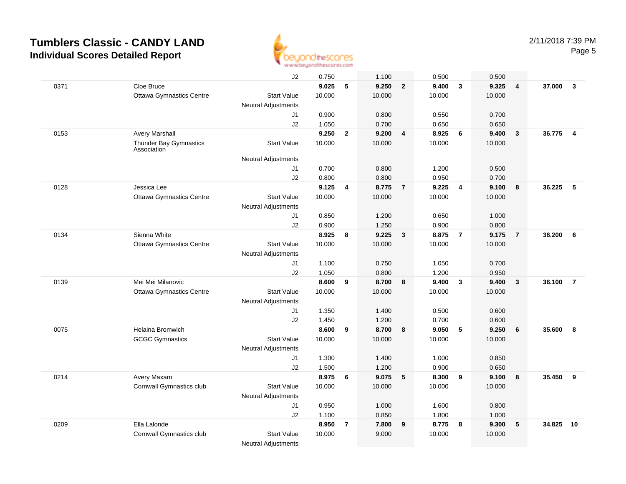

|      |                                       | J2                         | 0.750  |                         | 1.100  |                         | 0.500  |                         | 0.500  |                |        |                |
|------|---------------------------------------|----------------------------|--------|-------------------------|--------|-------------------------|--------|-------------------------|--------|----------------|--------|----------------|
| 0371 | Cloe Bruce                            |                            | 9.025  | 5                       | 9.250  | $\overline{2}$          | 9.400  | $\overline{\mathbf{3}}$ | 9.325  | $\overline{4}$ | 37.000 | $\mathbf{3}$   |
|      | <b>Ottawa Gymnastics Centre</b>       | <b>Start Value</b>         | 10.000 |                         | 10.000 |                         | 10.000 |                         | 10.000 |                |        |                |
|      |                                       | <b>Neutral Adjustments</b> |        |                         |        |                         |        |                         |        |                |        |                |
|      |                                       | J1                         | 0.900  |                         | 0.800  |                         | 0.550  |                         | 0.700  |                |        |                |
|      |                                       | J2                         | 1.050  |                         | 0.700  |                         | 0.650  |                         | 0.650  |                |        |                |
| 0153 | <b>Avery Marshall</b>                 |                            | 9.250  | $\overline{2}$          | 9.200  | $\overline{\mathbf{4}}$ | 8.925  | 6                       | 9.400  | $\mathbf{3}$   | 36.775 | $\overline{4}$ |
|      | Thunder Bay Gymnastics<br>Association | <b>Start Value</b>         | 10.000 |                         | 10.000 |                         | 10.000 |                         | 10.000 |                |        |                |
|      |                                       | <b>Neutral Adjustments</b> |        |                         |        |                         |        |                         |        |                |        |                |
|      |                                       | J1                         | 0.700  |                         | 0.800  |                         | 1.200  |                         | 0.500  |                |        |                |
|      |                                       | J2                         | 0.800  |                         | 0.800  |                         | 0.950  |                         | 0.700  |                |        |                |
| 0128 | Jessica Lee                           |                            | 9.125  | 4                       | 8.775  | $\overline{7}$          | 9.225  | $\overline{4}$          | 9.100  | 8              | 36.225 | -5             |
|      | <b>Ottawa Gymnastics Centre</b>       | <b>Start Value</b>         | 10.000 |                         | 10.000 |                         | 10.000 |                         | 10.000 |                |        |                |
|      |                                       | <b>Neutral Adjustments</b> |        |                         |        |                         |        |                         |        |                |        |                |
|      |                                       | J1                         | 0.850  |                         | 1.200  |                         | 0.650  |                         | 1.000  |                |        |                |
|      |                                       | J2                         | 0.900  |                         | 1.250  |                         | 0.900  |                         | 0.800  |                |        |                |
| 0134 | Sienna White                          |                            | 8.925  | 8                       | 9.225  | $\overline{\mathbf{3}}$ | 8.875  | $\overline{7}$          | 9.175  | $\overline{7}$ | 36.200 | 6              |
|      | <b>Ottawa Gymnastics Centre</b>       | <b>Start Value</b>         | 10.000 |                         | 10.000 |                         | 10.000 |                         | 10.000 |                |        |                |
|      |                                       | <b>Neutral Adjustments</b> |        |                         |        |                         |        |                         |        |                |        |                |
|      |                                       | J1                         | 1.100  |                         | 0.750  |                         | 1.050  |                         | 0.700  |                |        |                |
|      |                                       | J2                         | 1.050  |                         | 0.800  |                         | 1.200  |                         | 0.950  |                |        |                |
| 0139 | Mei Mei Milanovic                     |                            | 8.600  | 9                       | 8.700  | 8                       | 9.400  | $\overline{\mathbf{3}}$ | 9.400  | $\mathbf{3}$   | 36.100 | $\overline{7}$ |
|      | <b>Ottawa Gymnastics Centre</b>       | <b>Start Value</b>         | 10.000 |                         | 10.000 |                         | 10.000 |                         | 10.000 |                |        |                |
|      |                                       | <b>Neutral Adjustments</b> |        |                         |        |                         |        |                         |        |                |        |                |
|      |                                       | J <sub>1</sub>             | 1.350  |                         | 1.400  |                         | 0.500  |                         | 0.600  |                |        |                |
|      |                                       | J2                         | 1.450  |                         | 1.200  |                         | 0.700  |                         | 0.600  |                |        |                |
| 0075 | Helaina Bromwich                      |                            | 8.600  | 9                       | 8.700  | 8                       | 9.050  | 5                       | 9.250  | 6              | 35.600 | 8              |
|      | <b>GCGC Gymnastics</b>                | <b>Start Value</b>         | 10.000 |                         | 10.000 |                         | 10.000 |                         | 10.000 |                |        |                |
|      |                                       | <b>Neutral Adjustments</b> |        |                         |        |                         |        |                         |        |                |        |                |
|      |                                       | J1                         | 1.300  |                         | 1.400  |                         | 1.000  |                         | 0.850  |                |        |                |
|      |                                       | J2                         | 1.500  |                         | 1.200  |                         | 0.900  |                         | 0.650  |                |        |                |
| 0214 | Avery Maxam                           |                            | 8.975  | 6                       | 9.075  | 5                       | 8.300  | 9                       | 9.100  | 8              | 35.450 | 9              |
|      | Cornwall Gymnastics club              | <b>Start Value</b>         | 10.000 |                         | 10.000 |                         | 10.000 |                         | 10.000 |                |        |                |
|      |                                       | <b>Neutral Adjustments</b> |        |                         |        |                         |        |                         |        |                |        |                |
|      |                                       | J1                         | 0.950  |                         | 1.000  |                         | 1.600  |                         | 0.800  |                |        |                |
|      |                                       | J2                         | 1.100  |                         | 0.850  |                         | 1.800  |                         | 1.000  |                |        |                |
| 0209 | Ella Lalonde                          |                            | 8.950  | $\overline{\mathbf{r}}$ | 7.800  | 9                       | 8.775  | 8                       | 9.300  | 5              | 34.825 | 10             |
|      | Cornwall Gymnastics club              | <b>Start Value</b>         | 10.000 |                         | 9.000  |                         | 10.000 |                         | 10.000 |                |        |                |
|      |                                       | <b>Neutral Adjustments</b> |        |                         |        |                         |        |                         |        |                |        |                |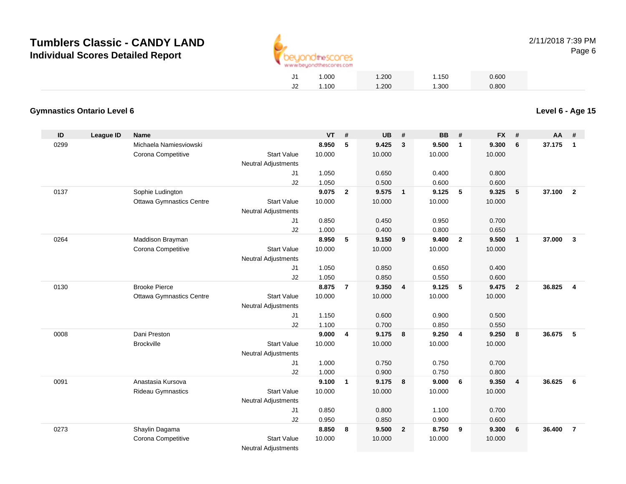

|    | 1.000 | 1.200 | 1.150 | 0.600 |
|----|-------|-------|-------|-------|
| J2 | 1.100 | 1.200 | 1.300 | 0.800 |

### **Gymnastics Ontario Level 6**

| ID   | <b>League ID</b> | <b>Name</b>                     |                            | <b>VT</b> | #              | <b>UB</b> | #                       | <b>BB</b> | #                       | <b>FX</b> | #               | AA     | #                       |
|------|------------------|---------------------------------|----------------------------|-----------|----------------|-----------|-------------------------|-----------|-------------------------|-----------|-----------------|--------|-------------------------|
| 0299 |                  | Michaela Namiesviowski          |                            | 8.950     | 5              | 9.425     | $\mathbf{3}$            | 9.500     | $\mathbf{1}$            | 9.300     | 6               | 37.175 | $\mathbf{1}$            |
|      |                  | Corona Competitive              | <b>Start Value</b>         | 10.000    |                | 10.000    |                         | 10.000    |                         | 10.000    |                 |        |                         |
|      |                  |                                 | <b>Neutral Adjustments</b> |           |                |           |                         |           |                         |           |                 |        |                         |
|      |                  |                                 | J <sub>1</sub>             | 1.050     |                | 0.650     |                         | 0.400     |                         | 0.800     |                 |        |                         |
|      |                  |                                 | J2                         | 1.050     |                | 0.500     |                         | 0.600     |                         | 0.600     |                 |        |                         |
| 0137 |                  | Sophie Ludington                |                            | 9.075     | $\mathbf{2}$   | 9.575     | $\overline{1}$          | 9.125     | 5                       | 9.325     | $5\phantom{.0}$ | 37.100 | $\overline{2}$          |
|      |                  | <b>Ottawa Gymnastics Centre</b> | <b>Start Value</b>         | 10.000    |                | 10.000    |                         | 10.000    |                         | 10.000    |                 |        |                         |
|      |                  |                                 | <b>Neutral Adjustments</b> |           |                |           |                         |           |                         |           |                 |        |                         |
|      |                  |                                 | J1                         | 0.850     |                | 0.450     |                         | 0.950     |                         | 0.700     |                 |        |                         |
|      |                  |                                 | J2                         | 1.000     |                | 0.400     |                         | 0.800     |                         | 0.650     |                 |        |                         |
| 0264 |                  | Maddison Brayman                |                            | 8.950     | 5              | 9.150     | 9                       | 9.400     | $\overline{\mathbf{2}}$ | 9.500     | $\overline{1}$  | 37.000 | $\overline{\mathbf{3}}$ |
|      |                  | Corona Competitive              | <b>Start Value</b>         | 10.000    |                | 10.000    |                         | 10.000    |                         | 10.000    |                 |        |                         |
|      |                  |                                 | <b>Neutral Adjustments</b> |           |                |           |                         |           |                         |           |                 |        |                         |
|      |                  |                                 | J <sub>1</sub>             | 1.050     |                | 0.850     |                         | 0.650     |                         | 0.400     |                 |        |                         |
|      |                  |                                 | J2                         | 1.050     |                | 0.850     |                         | 0.550     |                         | 0.600     |                 |        |                         |
| 0130 |                  | <b>Brooke Pierce</b>            |                            | 8.875     | $\overline{7}$ | 9.350     | $\overline{4}$          | 9.125     | 5                       | 9.475     | $\overline{2}$  | 36.825 | $\overline{\mathbf{4}}$ |
|      |                  | <b>Ottawa Gymnastics Centre</b> | <b>Start Value</b>         | 10.000    |                | 10.000    |                         | 10.000    |                         | 10.000    |                 |        |                         |
|      |                  |                                 | <b>Neutral Adjustments</b> |           |                |           |                         |           |                         |           |                 |        |                         |
|      |                  |                                 | J1                         | 1.150     |                | 0.600     |                         | 0.900     |                         | 0.500     |                 |        |                         |
|      |                  |                                 | J2                         | 1.100     |                | 0.700     |                         | 0.850     |                         | 0.550     |                 |        |                         |
| 0008 |                  | Dani Preston                    |                            | 9.000     | 4              | 9.175     | 8                       | 9.250     | $\overline{\mathbf{4}}$ | 9.250     | 8               | 36.675 | 5                       |
|      |                  | <b>Brockville</b>               | <b>Start Value</b>         | 10.000    |                | 10.000    |                         | 10.000    |                         | 10.000    |                 |        |                         |
|      |                  |                                 | <b>Neutral Adjustments</b> |           |                |           |                         |           |                         |           |                 |        |                         |
|      |                  |                                 | J <sub>1</sub>             | 1.000     |                | 0.750     |                         | 0.750     |                         | 0.700     |                 |        |                         |
|      |                  |                                 | J2                         | 1.000     |                | 0.900     |                         | 0.750     |                         | 0.800     |                 |        |                         |
| 0091 |                  | Anastasia Kursova               |                            | 9.100     | $\mathbf{1}$   | 9.175     | 8                       | 9.000     | 6                       | 9.350     | $\overline{4}$  | 36.625 | 6                       |
|      |                  | <b>Rideau Gymnastics</b>        | <b>Start Value</b>         | 10.000    |                | 10.000    |                         | 10.000    |                         | 10.000    |                 |        |                         |
|      |                  |                                 | <b>Neutral Adjustments</b> |           |                |           |                         |           |                         |           |                 |        |                         |
|      |                  |                                 | J1                         | 0.850     |                | 0.800     |                         | 1.100     |                         | 0.700     |                 |        |                         |
|      |                  |                                 | J2                         | 0.950     |                | 0.850     |                         | 0.900     |                         | 0.600     |                 |        |                         |
| 0273 |                  | Shaylin Dagama                  |                            | 8.850     | 8              | 9.500     | $\overline{\mathbf{2}}$ | 8.750     | 9                       | 9.300     | 6               | 36,400 | $\overline{7}$          |
|      |                  | Corona Competitive              | <b>Start Value</b>         | 10.000    |                | 10.000    |                         | 10.000    |                         | 10.000    |                 |        |                         |
|      |                  |                                 | <b>Neutral Adjustments</b> |           |                |           |                         |           |                         |           |                 |        |                         |

**Level 6 - Age 15**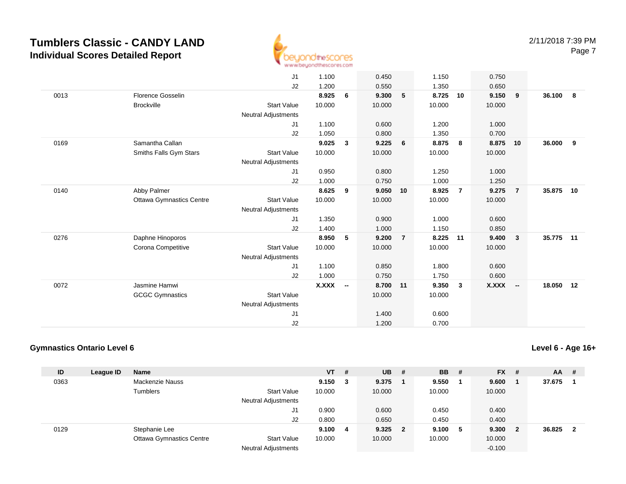

|      |                                 | J1                         | 1.100        |                          | 0.450  |                | 1.150  |                | 0.750        |                |        |     |
|------|---------------------------------|----------------------------|--------------|--------------------------|--------|----------------|--------|----------------|--------------|----------------|--------|-----|
|      |                                 | J2                         | 1.200        |                          | 0.550  |                | 1.350  |                | 0.650        |                |        |     |
| 0013 | <b>Florence Gosselin</b>        |                            | 8.925        | 6                        | 9.300  | 5              | 8.725  | 10             | 9.150        | 9              | 36.100 | - 8 |
|      | <b>Brockville</b>               | <b>Start Value</b>         | 10.000       |                          | 10.000 |                | 10.000 |                | 10.000       |                |        |     |
|      |                                 | <b>Neutral Adjustments</b> |              |                          |        |                |        |                |              |                |        |     |
|      |                                 | J1                         | 1.100        |                          | 0.600  |                | 1.200  |                | 1.000        |                |        |     |
|      |                                 | J2                         | 1.050        |                          | 0.800  |                | 1.350  |                | 0.700        |                |        |     |
| 0169 | Samantha Callan                 |                            | 9.025        | $\mathbf{3}$             | 9.225  | 6              | 8.875  | 8              | 8.875        | 10             | 36.000 | 9   |
|      | Smiths Falls Gym Stars          | <b>Start Value</b>         | 10.000       |                          | 10.000 |                | 10.000 |                | 10.000       |                |        |     |
|      |                                 | <b>Neutral Adjustments</b> |              |                          |        |                |        |                |              |                |        |     |
|      |                                 | J1                         | 0.950        |                          | 0.800  |                | 1.250  |                | 1.000        |                |        |     |
|      |                                 | J2                         | 1.000        |                          | 0.750  |                | 1.000  |                | 1.250        |                |        |     |
| 0140 |                                 |                            | 8.625        | 9                        | 9.050  | 10             | 8.925  | $\overline{7}$ | 9.275        | $\overline{7}$ | 35.875 | 10  |
|      | Abby Palmer                     |                            |              |                          |        |                |        |                |              |                |        |     |
|      | <b>Ottawa Gymnastics Centre</b> | <b>Start Value</b>         | 10.000       |                          | 10.000 |                | 10.000 |                | 10.000       |                |        |     |
|      |                                 | <b>Neutral Adjustments</b> |              |                          |        |                |        |                |              |                |        |     |
|      |                                 | J1                         | 1.350        |                          | 0.900  |                | 1.000  |                | 0.600        |                |        |     |
|      |                                 | J2                         | 1.400        |                          | 1.000  |                | 1.150  |                | 0.850        |                |        |     |
| 0276 | Daphne Hinoporos                |                            | 8.950        | 5                        | 9.200  | $\overline{7}$ | 8.225  | 11             | 9.400        | $\mathbf{3}$   | 35.775 | 11  |
|      | Corona Competitive              | <b>Start Value</b>         | 10.000       |                          | 10.000 |                | 10.000 |                | 10.000       |                |        |     |
|      |                                 | <b>Neutral Adjustments</b> |              |                          |        |                |        |                |              |                |        |     |
|      |                                 | J1                         | 1.100        |                          | 0.850  |                | 1.800  |                | 0.600        |                |        |     |
|      |                                 | J2                         | 1.000        |                          | 0.750  |                | 1.750  |                | 0.600        |                |        |     |
| 0072 | Jasmine Hamwi                   |                            | <b>X.XXX</b> | $\overline{\phantom{a}}$ | 8.700  | 11             | 9.350  | $\mathbf{3}$   | <b>X.XXX</b> | $\sim$         | 18.050 | 12  |
|      | <b>GCGC Gymnastics</b>          | <b>Start Value</b>         |              |                          | 10.000 |                | 10.000 |                |              |                |        |     |
|      |                                 | <b>Neutral Adjustments</b> |              |                          |        |                |        |                |              |                |        |     |
|      |                                 | J1                         |              |                          | 1.400  |                | 0.600  |                |              |                |        |     |
|      |                                 | J2                         |              |                          | 1.200  |                | 0.700  |                |              |                |        |     |

### **Gymnastics Ontario Level 6**

| ID   | League ID | <b>Name</b>                     |                            | $VT$ # |   | <b>UB</b> | - #      | <b>BB</b> | - # | $FX$ #   |                         | AA     | - #                     |
|------|-----------|---------------------------------|----------------------------|--------|---|-----------|----------|-----------|-----|----------|-------------------------|--------|-------------------------|
| 0363 |           | Mackenzie Nauss                 |                            | 9.150  | 3 | 9.375     |          | 9.550     |     | 9.600    |                         | 37.675 |                         |
|      |           | Tumblers                        | <b>Start Value</b>         | 10.000 |   | 10.000    |          | 10.000    |     | 10.000   |                         |        |                         |
|      |           |                                 | <b>Neutral Adjustments</b> |        |   |           |          |           |     |          |                         |        |                         |
|      |           |                                 | J1                         | 0.900  |   | 0.600     |          | 0.450     |     | 0.400    |                         |        |                         |
|      |           |                                 | J2                         | 0.800  |   | 0.650     |          | 0.450     |     | 0.400    |                         |        |                         |
| 0129 |           | Stephanie Lee                   |                            | 9.100  | 4 | 9.325     | $\sim$ 2 | 9.100     | -5  | 9.300    | $\overline{\mathbf{2}}$ | 36.825 | $\overline{\mathbf{2}}$ |
|      |           | <b>Ottawa Gymnastics Centre</b> | <b>Start Value</b>         | 10.000 |   | 10.000    |          | 10.000    |     | 10.000   |                         |        |                         |
|      |           |                                 | <b>Neutral Adjustments</b> |        |   |           |          |           |     | $-0.100$ |                         |        |                         |

**Level 6 - Age 16+**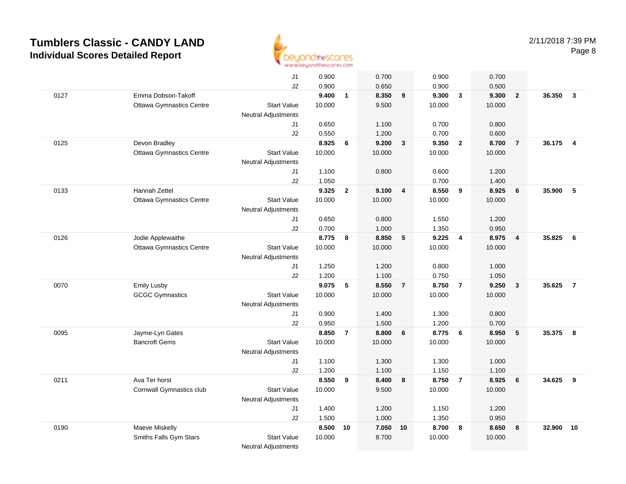

|      |                                 | J1                         | 0.900          |                | 0.700          |                | 0.900          |                         | 0.700          |                |        |                         |
|------|---------------------------------|----------------------------|----------------|----------------|----------------|----------------|----------------|-------------------------|----------------|----------------|--------|-------------------------|
|      |                                 | J2                         | 0.900          |                | 0.650          |                | 0.900          |                         | 0.500          |                |        |                         |
| 0127 | Emma Dobson-Takoff              |                            | 9.400          | $\mathbf{1}$   | 8.350          | 9              | 9.300          | $\overline{\mathbf{3}}$ | 9.300          | $\overline{2}$ | 36.350 | $\overline{\mathbf{3}}$ |
|      | <b>Ottawa Gymnastics Centre</b> | <b>Start Value</b>         | 10.000         |                | 9.500          |                | 10.000         |                         | 10.000         |                |        |                         |
|      |                                 | <b>Neutral Adjustments</b> |                |                |                |                |                |                         |                |                |        |                         |
|      |                                 | J1                         | 0.650          |                | 1.100          |                | 0.700          |                         | 0.800          |                |        |                         |
|      |                                 | J2                         | 0.550          |                | 1.200          |                | 0.700          |                         | 0.600          |                |        |                         |
| 0125 | Devon Bradley                   |                            | 8.925          | 6              | 9.200          | $\overline{3}$ | 9.350          | $\overline{2}$          | 8.700          | $\overline{7}$ | 36.175 | $\overline{\bf{4}}$     |
|      | <b>Ottawa Gymnastics Centre</b> | <b>Start Value</b>         | 10.000         |                | 10.000         |                | 10.000         |                         | 10.000         |                |        |                         |
|      |                                 | <b>Neutral Adjustments</b> |                |                |                |                |                |                         |                |                |        |                         |
|      |                                 | J1                         | 1.100          |                | 0.800          |                | 0.600          |                         | 1.200          |                |        |                         |
|      |                                 | J2                         | 1.050          |                |                |                | 0.700          |                         | 1.400          |                |        |                         |
| 0133 | Hannah Zettel                   |                            | 9.325          | $\overline{2}$ | 9.100          | $\overline{4}$ | 8.550          | 9                       | 8.925          | 6              | 35.900 | 5                       |
|      | <b>Ottawa Gymnastics Centre</b> | <b>Start Value</b>         | 10.000         |                | 10.000         |                | 10.000         |                         | 10.000         |                |        |                         |
|      |                                 | Neutral Adjustments        |                |                |                |                |                |                         |                |                |        |                         |
|      |                                 | J1                         | 0.650          |                | 0.800          |                | 1.550          |                         | 1.200          |                |        |                         |
| 0126 | Jodie Applewaithe               | J2                         | 0.700<br>8.775 | 8              | 1.000<br>8.850 | 5              | 1.350<br>9.225 | $\overline{4}$          | 0.950<br>8.975 | $\overline{4}$ | 35.825 | $6\overline{6}$         |
|      | <b>Ottawa Gymnastics Centre</b> | <b>Start Value</b>         | 10.000         |                | 10.000         |                | 10.000         |                         | 10.000         |                |        |                         |
|      |                                 | <b>Neutral Adjustments</b> |                |                |                |                |                |                         |                |                |        |                         |
|      |                                 | J1                         | 1.250          |                | 1.200          |                | 0.800          |                         | 1.000          |                |        |                         |
|      |                                 | J2                         | 1.200          |                | 1.100          |                | 0.750          |                         | 1.050          |                |        |                         |
| 0070 | <b>Emily Lusby</b>              |                            | 9.075          | 5              | 8.550          | $\overline{7}$ | 8.750          | $\overline{7}$          | 9.250          | $\overline{3}$ | 35.625 | $\overline{7}$          |
|      | <b>GCGC Gymnastics</b>          | <b>Start Value</b>         | 10.000         |                | 10.000         |                | 10.000         |                         | 10.000         |                |        |                         |
|      |                                 | Neutral Adjustments        |                |                |                |                |                |                         |                |                |        |                         |
|      |                                 | J1                         | 0.900          |                | 1.400          |                | 1.300          |                         | 0.800          |                |        |                         |
|      |                                 | J2                         | 0.950          |                | 1.500          |                | 1.200          |                         | 0.700          |                |        |                         |
| 0095 | Jayme-Lyn Gates                 |                            | 8.850          | $\overline{7}$ | 8.800          | 6              | 8.775          | $6\overline{6}$         | 8.950          | 5              | 35.375 | 8                       |
|      | <b>Bancroft Gems</b>            | <b>Start Value</b>         | 10.000         |                | 10.000         |                | 10.000         |                         | 10.000         |                |        |                         |
|      |                                 | Neutral Adjustments        |                |                |                |                |                |                         |                |                |        |                         |
|      |                                 | J1                         | 1.100          |                | 1.300          |                | 1.300          |                         | 1.000          |                |        |                         |
|      |                                 | J2                         | 1.200          |                | 1.100          |                | 1.150          |                         | 1.100          |                |        |                         |
| 0211 | Ava Ter horst                   |                            | 8.550          | 9              | 8.400          | 8              | 8.750          | $\overline{7}$          | 8.925          | 6              | 34.625 | 9                       |
|      | Cornwall Gymnastics club        | <b>Start Value</b>         | 10.000         |                | 9.500          |                | 10.000         |                         | 10.000         |                |        |                         |
|      |                                 | Neutral Adjustments        |                |                |                |                |                |                         |                |                |        |                         |
|      |                                 | J1                         | 1.400          |                | 1.200          |                | 1.150          |                         | 1.200          |                |        |                         |
|      |                                 | J2                         | 1.500          |                | 1.000          |                | 1.350          |                         | 0.950          |                |        |                         |
| 0190 | Maeve Miskelly                  |                            | 8.500          | 10             | 7.050          | 10             | 8.700          | 8                       | 8.650          | 8              | 32.900 | 10                      |
|      | Smiths Falls Gym Stars          | <b>Start Value</b>         | 10.000         |                | 8.700          |                | 10.000         |                         | 10.000         |                |        |                         |
|      |                                 | Neutral Adjustments        |                |                |                |                |                |                         |                |                |        |                         |